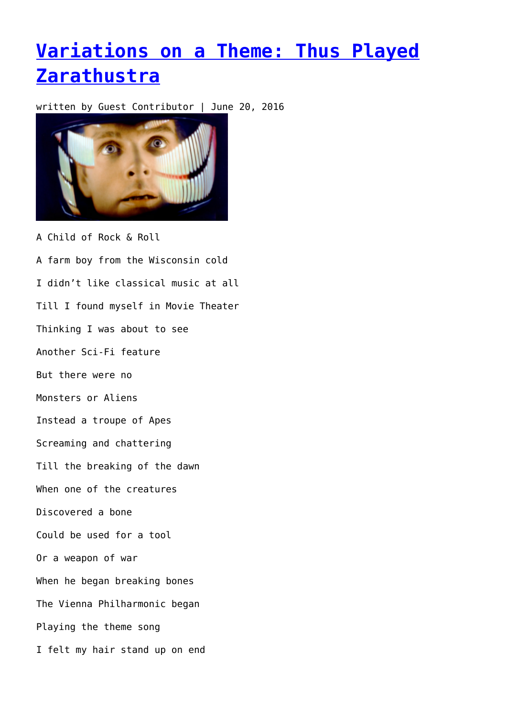## **[Variations on a Theme: Thus Played](https://entropymag.org/variations-on-a-theme-thus-played-zarathustra/) [Zarathustra](https://entropymag.org/variations-on-a-theme-thus-played-zarathustra/)**

written by Guest Contributor | June 20, 2016



A Child of Rock & Roll A farm boy from the Wisconsin cold I didn't like classical music at all Till I found myself in Movie Theater Thinking I was about to see Another Sci-Fi feature But there were no Monsters or Aliens Instead a troupe of Apes Screaming and chattering Till the breaking of the dawn When one of the creatures Discovered a bone Could be used for a tool Or a weapon of war When he began breaking bones The Vienna Philharmonic began Playing the theme song I felt my hair stand up on end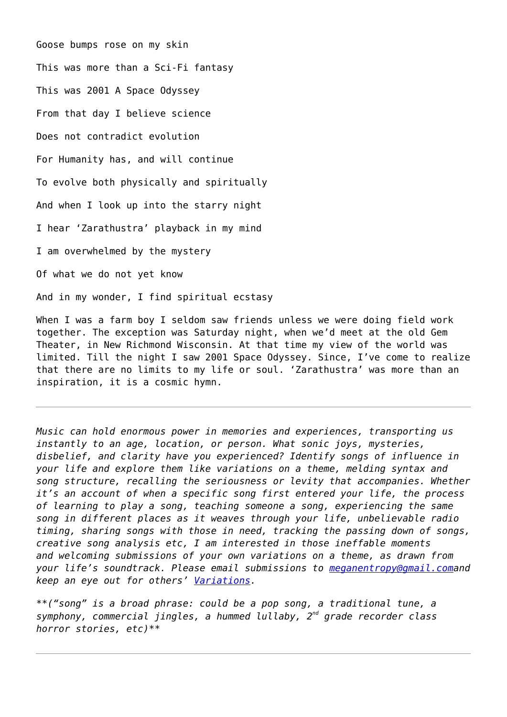Goose bumps rose on my skin This was more than a Sci-Fi fantasy This was 2001 A Space Odyssey From that day I believe science Does not contradict evolution For Humanity has, and will continue To evolve both physically and spiritually And when I look up into the starry night I hear 'Zarathustra' playback in my mind I am overwhelmed by the mystery Of what we do not yet know And in my wonder, I find spiritual ecstasy

When I was a farm boy I seldom saw friends unless we were doing field work together. The exception was Saturday night, when we'd meet at the old Gem Theater, in New Richmond Wisconsin. At that time my view of the world was limited. Till the night I saw 2001 Space Odyssey. Since, I've come to realize that there are no limits to my life or soul. 'Zarathustra' was more than an inspiration, it is a cosmic hymn.

*Music can hold enormous power in memories and experiences, transporting us instantly to an age, location, or person. What sonic joys, mysteries, disbelief, and clarity have you experienced? Identify songs of influence in your life and explore them like variations on a theme, melding syntax and song structure, recalling the seriousness or levity that accompanies. Whether it's an account of when a specific song first entered your life, the process of learning to play a song, teaching someone a song, experiencing the same song in different places as it weaves through your life, unbelievable radio timing, sharing songs with those in need, tracking the passing down of songs, creative song analysis etc, I am interested in those ineffable moments and welcoming submissions of your own variations on a theme, as drawn from your life's soundtrack. Please email submissions to [meganentropy@gmail.coma](mailto:meganentropy@gmail.com)nd keep an eye out for others' [Variations](https://entropymag.org/tag/variations-on-a-theme/).*

*\*\*("song" is a broad phrase: could be a pop song, a traditional tune, a symphony, commercial jingles, a hummed lullaby, 2nd grade recorder class horror stories, etc)\*\**